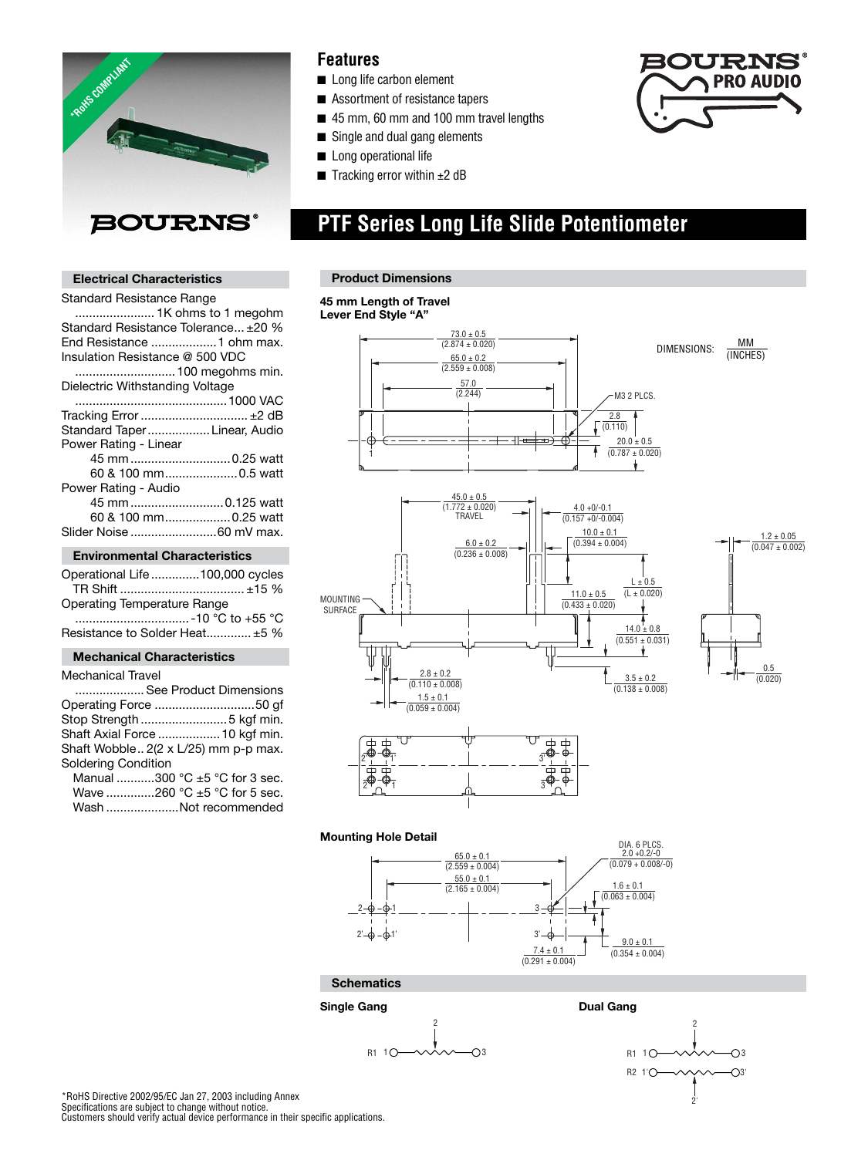

### **Features**

- Long life carbon element
- Assortment of resistance tapers
- 45 mm, 60 mm and 100 mm travel lengths
- Single and dual gang elements
- Long operational life
- Tracking error within  $\pm 2$  dB



# **PTF Series Long Life Slide Potentiometer**

### **Product Dimensions**

#### **45 mm Length of Travel Lever End Style "A"**







(INCHES)



### **Mounting Hole Detail**









#### **Electrical Characteristics**

| Standard Resistance Range            |
|--------------------------------------|
| 1K ohms to 1 megohm                  |
| Standard Resistance Tolerance ±20 %  |
| End Resistance 1 ohm max.            |
| Insulation Resistance @ 500 VDC      |
|                                      |
| Dielectric Withstanding Voltage      |
|                                      |
| Tracking Error  ±2 dB                |
| Standard TaperLinear, Audio          |
| Power Rating - Linear                |
| 45 mm0.25 watt                       |
| 60 & 100 mm0.5 watt                  |
| Power Rating - Audio                 |
| 45 mm0.125 watt                      |
| 60 & 100 mm0.25 watt                 |
| Slider Noise 60 mV max.              |
| <b>Environmental Characteristics</b> |

| Operational Life 100,000 cycles    |  |
|------------------------------------|--|
|                                    |  |
| <b>Operating Temperature Range</b> |  |
|                                    |  |
| Resistance to Solder Heat ±5 %     |  |

### **Mechanical Characteristics**

| <b>Mechanical Travel</b> |
|--------------------------|
|--------------------------|

|                            | See Product Dimensions               |  |
|----------------------------|--------------------------------------|--|
|                            | Operating Force 50 gf                |  |
|                            |                                      |  |
|                            | Shaft Axial Force  10 kgf min.       |  |
|                            | Shaft Wobble 2(2 x L/25) mm p-p max. |  |
| <b>Soldering Condition</b> |                                      |  |
|                            | Manual 300 °C $\pm$ 5 °C for 3 sec.  |  |
| ۱۸/۵۱/۵                    | 260 °C +5 °C for 5 sec               |  |

| Wave 260 °C $\pm$ 5 °C for 5 sec. |  |
|-----------------------------------|--|
| Wash Not recommended              |  |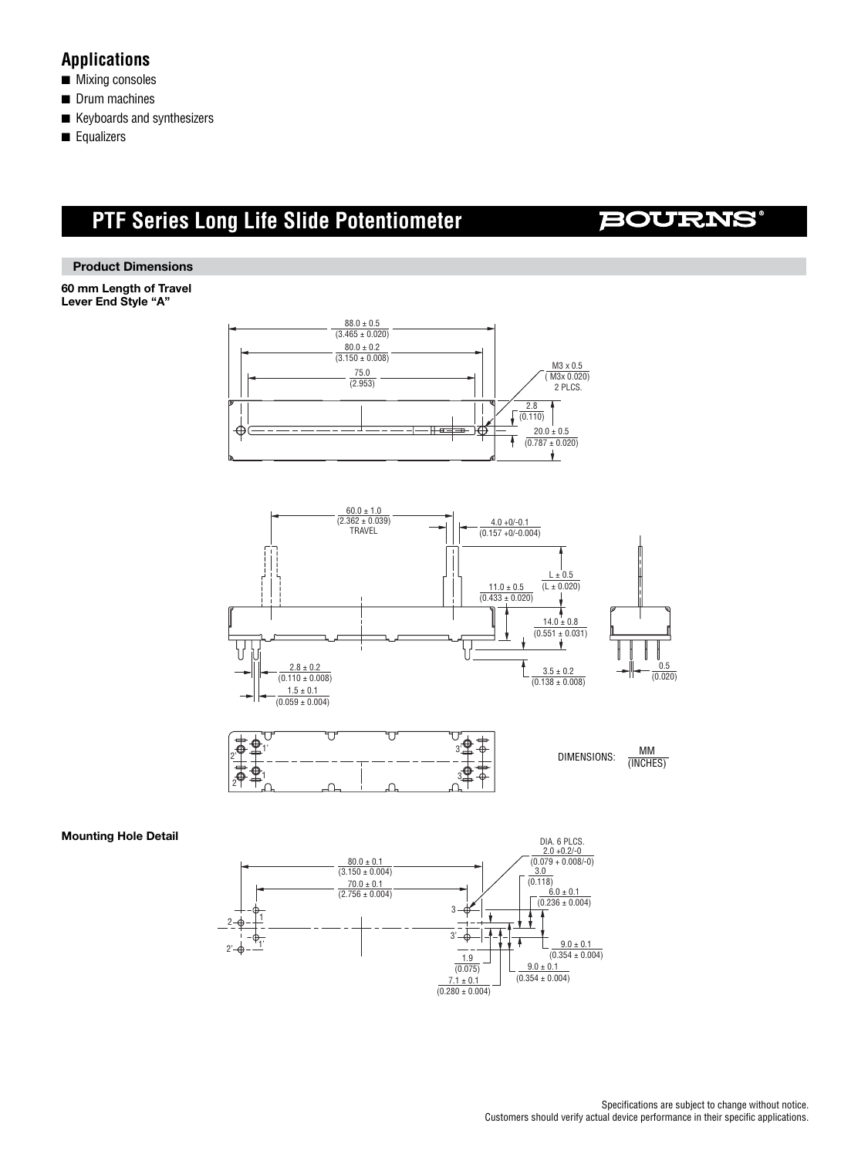### **Applications**

- Mixing consoles
- Drum machines
- Keyboards and synthesizers
- Equalizers

## **PTF Series Long Life Slide Potentiometer**

## **BOURNS®**

### **Product Dimensions**

**60 mm Length of Travel Lever End Style "A"**





### **Mounting Hole Detail**

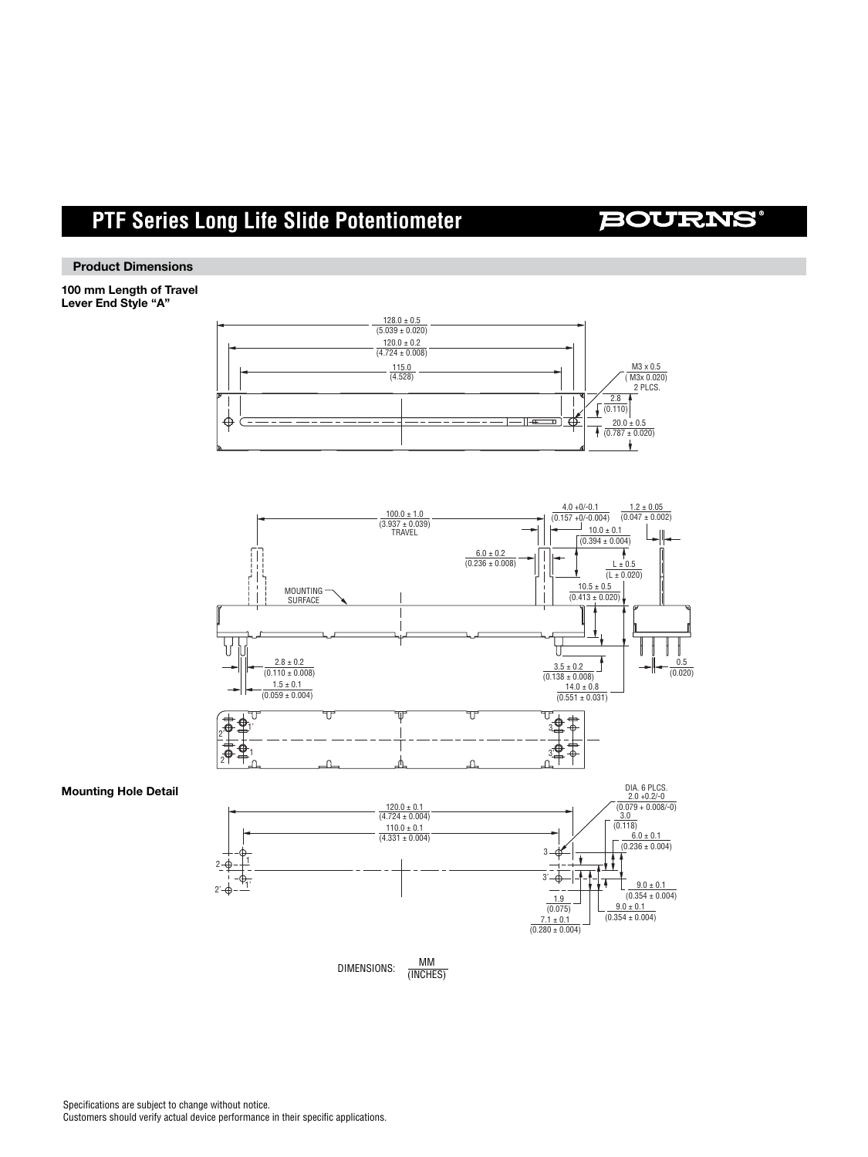### **BOURNS®**

#### **Product Dimensions**

**100 mm Length of Travel Lever End Style "A"**





**Mounting Hole Detail**

(INCHES)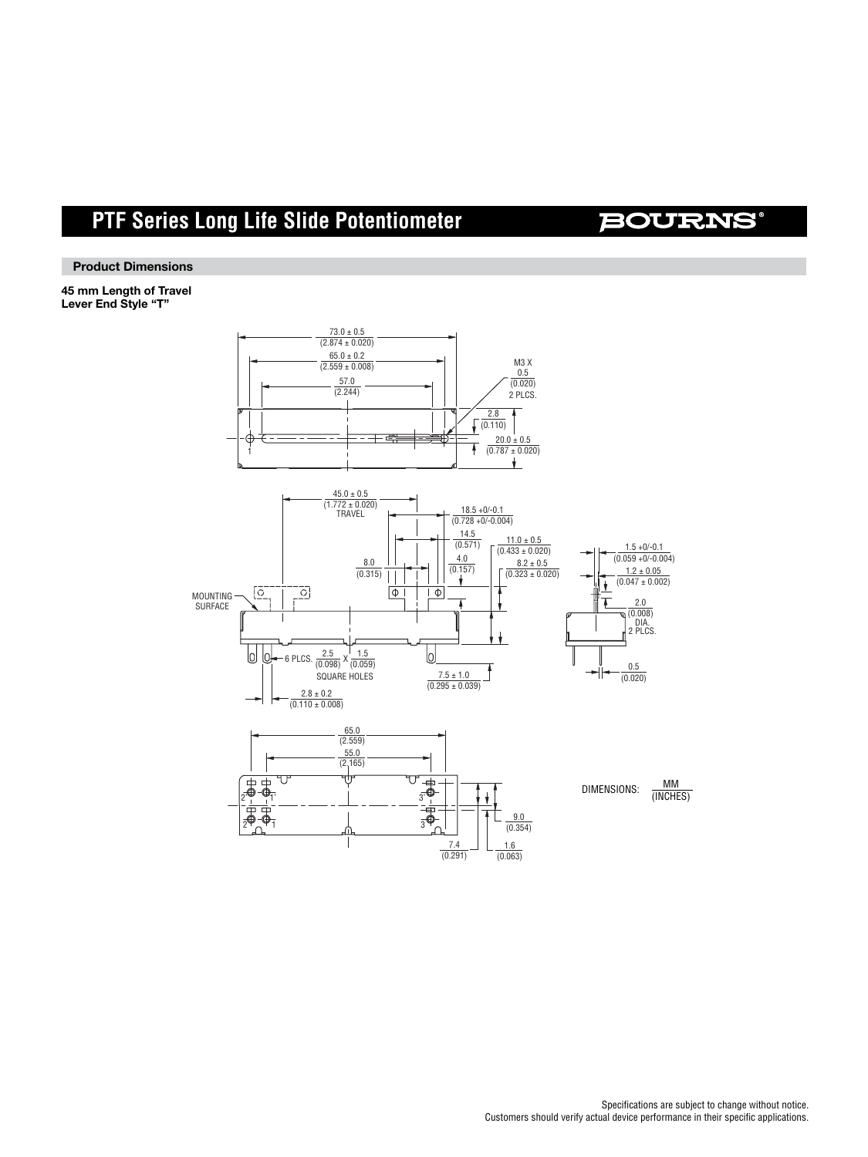### **BOURNS®**

**Product Dimensions**

**45 mm Length of Travel Lever End Style "T"**

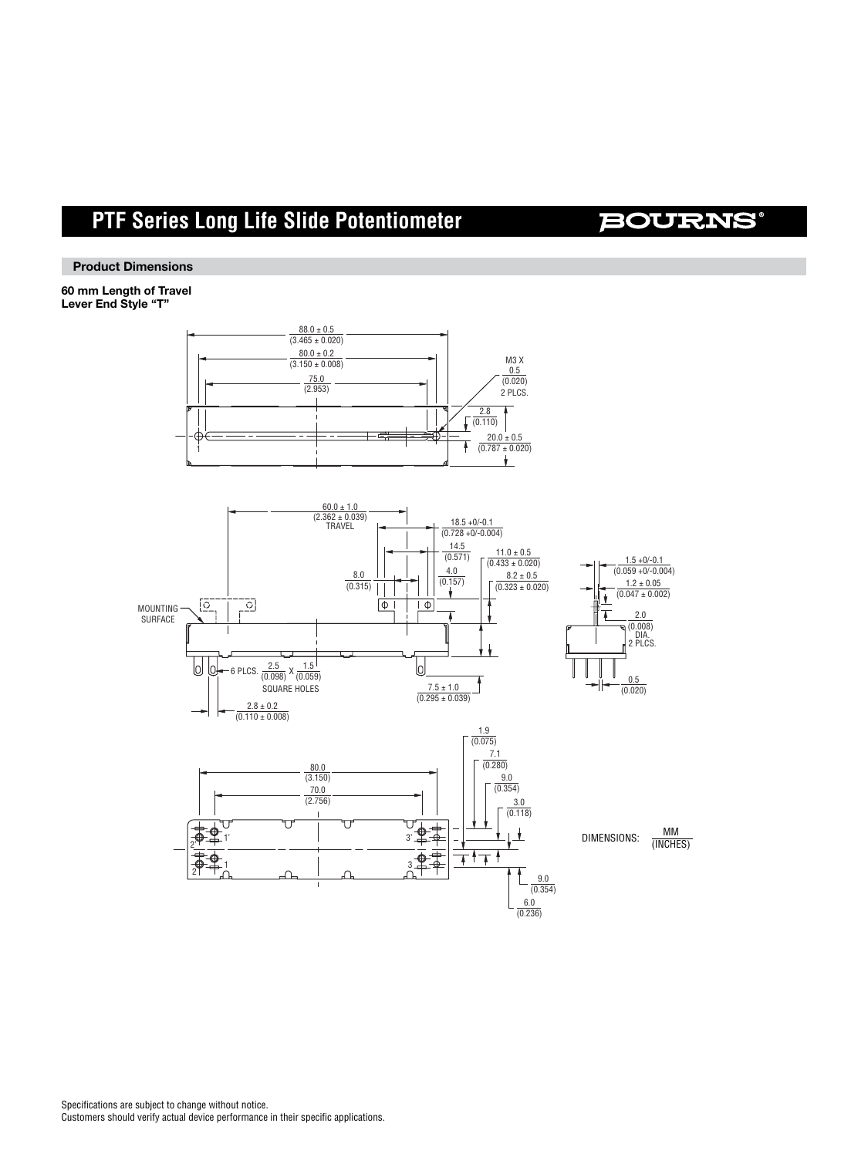**BOURNS®** 

**Product Dimensions**

**60 mm Length of Travel Lever End Style "T"**



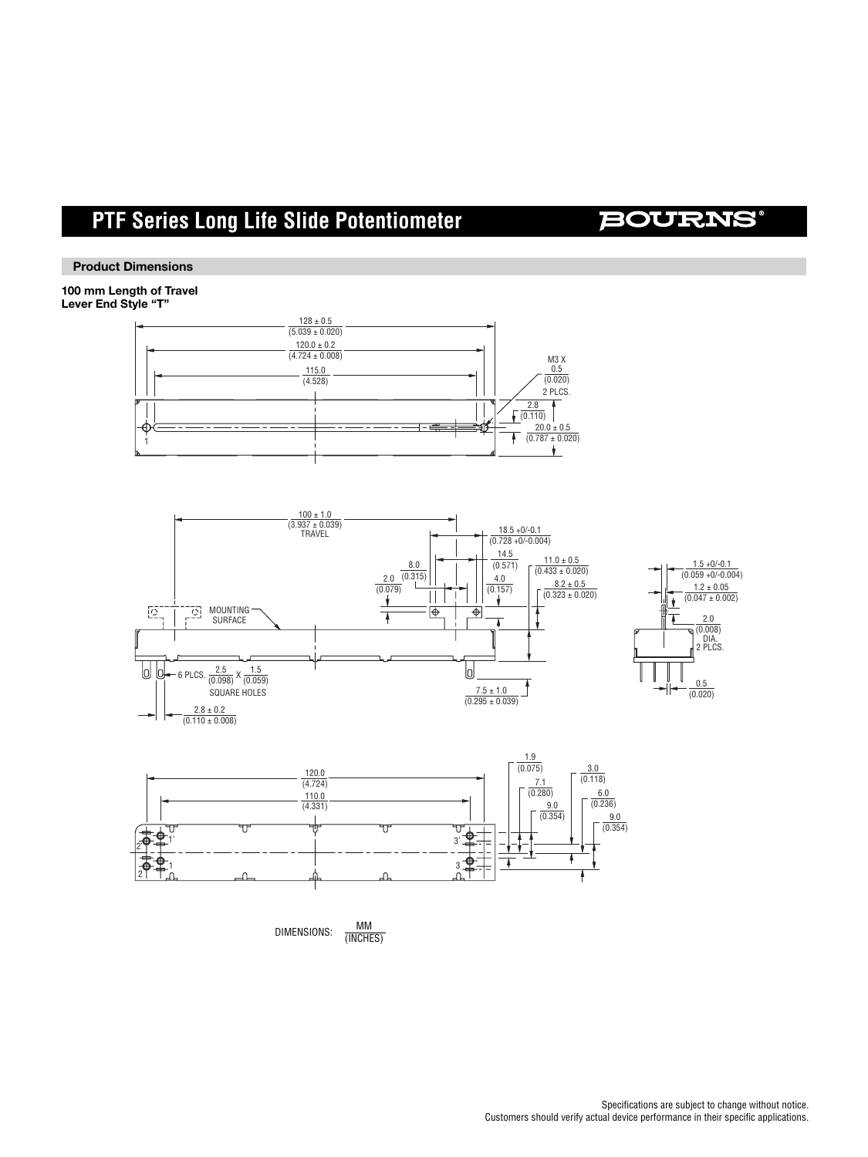### **BOURNS®**

#### **Product Dimensions**

**100 mm Length of Travel Lever End Style "T"**









DIMENSIONS: MM (INCHES)

> Specifications are subject to change without notice. Customers should verify actual device performance in their specific applications.